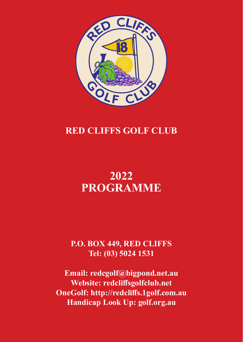

## **RED CLIFFS GOLF CLUB**

# **2022 PROGRAMME**

#### **P.O. BOX 449, RED CLIFFS Tel: (03) 5024 1531**

**Email: redcgolf@bigpond.net.au Website: redcliffsgolfclub.net OneGolf: http://redcliffs.1golf.com.au Handicap Look Up: golf.org.au**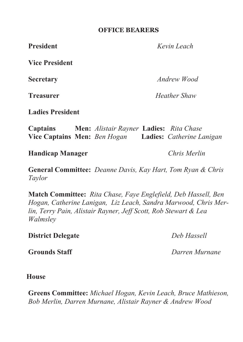#### **OFFICE BEARERS**

**President** *Kevin Leach* **Vice President Secretary** *Andrew Wood* **Treasurer** *Heather Shaw* **Ladies President Captains Men:** *Alistair Rayner* **Ladies:** *Rita Chase* **Vice Captains Men:** *Ben Hogan* **Ladies:** *Catherine Lanigan* **Handicap Manager** *Chris Merlin*

**General Committee:** *Deanne Davis, Kay Hart, Tom Ryan & Chris Taylor*

**Match Committee:** *Rita Chase, Faye Englefield, Deb Hassell, Ben Hogan, Catherine Lanigan, Liz Leach, Sandra Marwood, Chris Merlin, Terry Pain, Alistair Rayner, Jeff Scott, Rob Stewart & Lea Walmsley*

**District Delegate** *Deb Hassell*

**Grounds Staff** *Darren Murnane*

 **House** 

**Greens Committee:** *Michael Hogan, Kevin Leach, Bruce Mathieson, Bob Merlin, Darren Murnane, Alistair Rayner & Andrew Wood*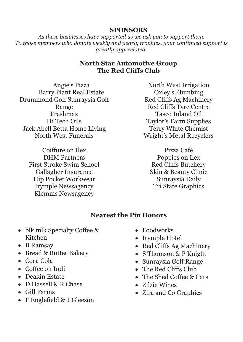#### **SPONSORS**

*As these businesses have supported us we ask you to support them. To those members who donate weekly and yearly trophies, your continued support is greatly appreciated.*

#### **North Star Automotive Group The Red Cliffs Club**

Angie's Pizza Barry Plant Real Estate Drummond Golf Sunraysia Golf Range Freshmax Hi Tech Oils Jack Abell Betta Home Living North West Funerals

> Coiffure on Ilex DHM Partners First Stroke Swim School Gallagher Insurance Hip Pocket Workwear Irymple Newsagency Klemms Newsagency

North West Irrigation Oxley's Plumbing Red Cliffs Ag Machinery Red Cliffs Tyre Centre Tasco Inland Oil Taylor's Farm Supplies Terry White Chemist Wright's Metal Recyclers

Pizza Café Poppies on Ilex Red Cliffs Butchery Skin & Beauty Clinic Sunraysia Daily Tri State Graphics

#### **Nearest the Pin Donors**

- blk.mlk Specialty Coffee & Kitchen
- B Ramsay
- Bread & Butter Bakery
- Coca Cola
- Coffee on Indi
- Deakin Estate
- D Hassell & R Chase
- Gill Farms
- F Englefield & J Gleeson
- Foodworks
- Irymple Hotel
- Red Cliffs Ag Machinery
- S Thomson & P Knight
- Sunraysia Golf Range
- The Red Cliffs Club
- The Shed Coffee & Cars
- Zilzie Wines
- Zira and Co Graphics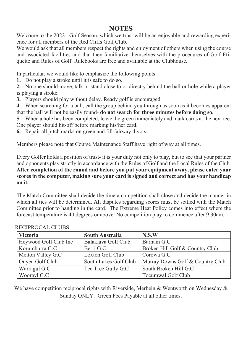#### **NOTES**

Welcome to the 2022 Golf Season, which we trust will be an enjoyable and rewarding experience for all members of the Red Cliffs Golf Club.

We would ask that all members respect the rights and enjoyment of others when using the course and associated facilities and that they familiarize themselves with the procedures of Golf Etiquette and Rules of Golf. Rulebooks are free and available at the Clubhouse.

In particular, we would like to emphasize the following points.

**1.** Do not play a stroke until it is safe to do so.

**2.** No one should move, talk or stand close to or directly behind the ball or hole while a player is playing a stroke.

**3.** Players should play without delay. Ready golf is encouraged.

**4.** When searching for a ball, call the group behind you through as soon as it becomes apparent that the ball will not be easily found- **do not search for three minutes before doing so.**

**5.** When a hole has been completed, leave the green immediately and mark cards at the next tee. One player should hit-off before marking his/her card.

**6.** Repair all pitch marks on green and fill fairway divots.

Members please note that Course Maintenance Staff have right of way at all times.

Every Golfer holds a position of trust- it is your duty not only to play, but to see that your partner and opponents play strictly in accordance with the Rules of Golf and the Local Rules of the Club. **After completion of the round and before you put your equipment away, please enter your scores in the computer, making sure your card is signed and correct and has your handicap on it.**

The Match Committee shall decide the time a competition shall close and decide the manner in which all ties will be determined. All disputes regarding scores must be settled with the Match Committee prior to handing in the card. The Extreme Heat Policy comes into effect where the forecast temperature is 40 degrees or above. No competition play to commence after 9:30am.

| <b>Victoria</b>       | South Australia       | N.S.W                            |
|-----------------------|-----------------------|----------------------------------|
| Heywood Golf Club Inc | Balaklava Golf Club   | Barham G.C                       |
| Korumburra G.C        | Berri G.C             | Broken Hill Golf & Country Club  |
| Melton Valley G.C     | Loxton Golf Club      | Corowa G.C                       |
| Ouyen Golf Club       | South Lakes Golf Club | Murray Downs Golf & Country Club |
| Warragul G.C          | Tea Tree Gully G.C    | South Broken Hill G.C            |
| Wooravl G.C           |                       | Tocumwal Golf Club               |

#### RECIPROCAL CLUBS

We have competition reciprocal rights with Riverside, Merbein & Wentworth on Wednesday & Sunday ONLY. Green Fees Payable at all other times.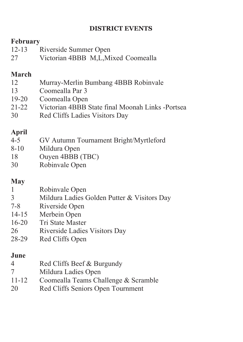#### **DISTRICT EVENTS**

#### **February**

- 12-13 Riverside Summer Open
- 27 Victorian 4BBB M,L,Mixed Coomealla

#### **March**

- 12 Murray-Merlin Bumbang 4BBB Robinvale
- 13 Coomealla Par 3<br>19-20 Coomealla Open
- 19-20 Coomealla Open<br>21-22 Victorian 4BBB
- Victorian 4BBB State final Moonah Links -Portsea
- 30 Red Cliffs Ladies Visitors Day

# **April**

- 4-5 GV Autumn Tournament Bright/Myrtleford
- 8-10 Mildura Open
- 18 Ouyen 4BBB (TBC)
- 30 Robinvale Open

#### **May**

- 1 Robinvale Open
- 3 Mildura Ladies Golden Putter & Visitors Day
- 7-8 Riverside Open
- 
- 14-15 Merbein Open<br>16-20 Tri State Mast Tri State Master
- 26 Riverside Ladies Visitors Day
- 28-29 Red Cliffs Open

#### **June**

- 4 Red Cliffs Beef & Burgundy
- 7 Mildura Ladies Open
- 11-12 Coomealla Teams Challenge & Scramble
- 20 Red Cliffs Seniors Open Tournment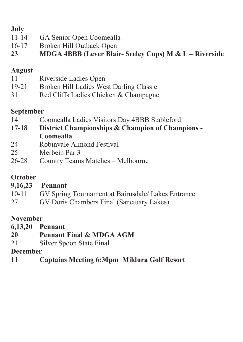#### **July**

- 11-14 GA Senior Open Coomealla
- 16-17 Broken Hill Outback Open
- **23 MDGA 4BBB (Lever Blair- Seeley Cups) M & L – Riverside**

#### **August**

- 11 Riverside Ladies Open
- 19-21 Broken Hill Ladies West Darling Classic<br>31 Red Cliffs Ladies Chicken & Champagne
- Red Cliffs Ladies Chicken & Champagne

#### **September**

- 14 Coomealla Ladies Visitors Day 4BBB Stableford<br>17-18 District Championships & Champion of Cham
- **District Championships & Champion of Champions -Coomealla**
- 24 Robinvale Almond Festival
- 25 Merbein Par 3<br>26-28 Country Team
- Country Teams Matches Melbourne

#### **October**

#### **9,16,23 Pennant**

- 10-11 GV Spring Tournament at Bairnsdale/ Lakes Entrance
- 27 GV Doris Chambers Final (Sanctuary Lakes)

#### **November**

- **6,13,20 Pennant**
- **20 Pennant Final & MDGA AGM**
- Silver Spoon State Final

#### **December**

**11 Captains Meeting 6:30pm Mildura Golf Resort**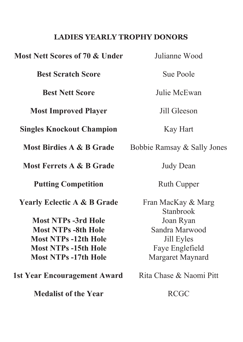#### **LADIES YEARLY TROPHY DONORS**

| Most Nett Scores of 70 & Under         | Julianne Wood                   |
|----------------------------------------|---------------------------------|
| <b>Best Scratch Score</b>              | Sue Poole                       |
| <b>Best Nett Score</b>                 | Julie McEwan                    |
| <b>Most Improved Player</b>            | Jill Gleeson                    |
| <b>Singles Knockout Champion</b>       | Kay Hart                        |
| Most Birdies A & B Grade               | Bobbie Ramsay & Sally Jones     |
| Most Ferrets A & B Grade               | Judy Dean                       |
| <b>Putting Competition</b>             | Ruth Cupper                     |
| <b>Yearly Eclectic A &amp; B Grade</b> | Fran MacKay & Marg<br>Stanbrook |
| <b>Most NTPs -3rd Hole</b>             | Joan Ryan                       |
| <b>Most NTPs -8th Hole</b>             | Sandra Marwood                  |
| <b>Most NTPs -12th Hole</b>            | Jill Eyles                      |
| <b>Most NTPs -15th Hole</b>            | Faye Englefield                 |
| <b>Most NTPs -17th Hole</b>            | Margaret Maynard                |
| <b>1st Year Encouragement Award</b>    | Rita Chase & Naomi Pitt         |
| <b>Medalist of the Year</b>            | <b>RCGC</b>                     |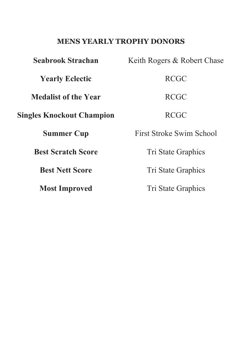#### **MENS YEARLY TROPHY DONORS**

| <b>Seabrook Strachan</b>         | Keith Rogers & Robert Chase |
|----------------------------------|-----------------------------|
| <b>Yearly Eclectic</b>           | <b>RCGC</b>                 |
| <b>Medalist of the Year</b>      | <b>RCGC</b>                 |
| <b>Singles Knockout Champion</b> | <b>RCGC</b>                 |
| <b>Summer Cup</b>                | First Stroke Swim School    |
| <b>Best Scratch Score</b>        | Tri State Graphics          |
| <b>Best Nett Score</b>           | Tri State Graphics          |
| <b>Most Improved</b>             | Tri State Graphics          |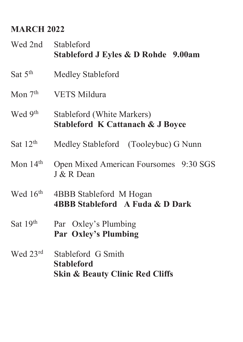# **MARCH 2022**

| Wed 2nd              | Stableford<br>Stableford J Eyles & D Rohde 9.00am                                     |
|----------------------|---------------------------------------------------------------------------------------|
| Sat $5th$            | Medley Stableford                                                                     |
| Mon $7th$            | <b>VETS Mildura</b>                                                                   |
| Wed 9 <sup>th</sup>  | Stableford (White Markers)<br>Stableford K Cattanach & J Boyce                        |
| Sat $12th$           | Medley Stableford (Tooleybuc) G Nunn                                                  |
| Mon $14th$           | Open Mixed American Foursomes 9:30 SGS<br>J & R Dean                                  |
| Wed $16^{\text{th}}$ | 4BBB Stableford M Hogan<br>4BBB Stableford A Fuda & D Dark                            |
| Sat $19th$           | Par Oxley's Plumbing<br><b>Par Oxley's Plumbing</b>                                   |
| Wed $23rd$           | Stableford G Smith<br><b>Stableford</b><br><b>Skin &amp; Beauty Clinic Red Cliffs</b> |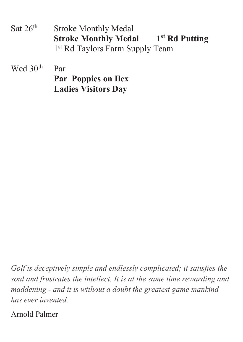| Sat $26th$ | <b>Stroke Monthly Medal</b>                 |                            |
|------------|---------------------------------------------|----------------------------|
|            | <b>Stroke Monthly Medal</b>                 | 1 <sup>st</sup> Rd Putting |
|            | 1 <sup>st</sup> Rd Taylors Farm Supply Team |                            |

Wed 30<sup>th</sup> Par  $P_{\rm ar}$ 

**Par Poppies on Ilex Ladies Visitors Day Parties** ( **Parties on**  $\mathbf{r}$ 

*soul and frustrates the intellect. It is at the same time rewarding and Golf is deceptively simple and endlessly complicated; it satisfies the maddening - and it is without a doubt the greatest game mankind soul and frustrates the intellect. It is at the same time rewarding and has ever invented. maddening - and it is without a doubt the greatest game mankind*  has ever invented.

Arnold Palmer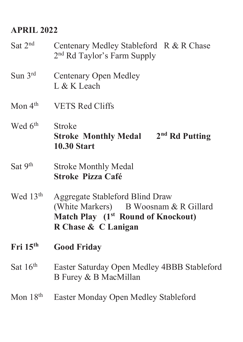# **APRIL 2022**

| Sat 2 <sup>nd</sup>  | Centenary Medley Stableford R & R Chase<br>2 <sup>nd</sup> Rd Taylor's Farm Supply                                                                |
|----------------------|---------------------------------------------------------------------------------------------------------------------------------------------------|
| Sun 3rd              | Centenary Open Medley<br>L & K Leach                                                                                                              |
| Mon $4th$            | <b>VETS Red Cliffs</b>                                                                                                                            |
| Wed 6 <sup>th</sup>  | Stroke<br>$2nd$ Rd Putting<br><b>Stroke Monthly Medal</b><br><b>10.30 Start</b>                                                                   |
| Sat 9 <sup>th</sup>  | <b>Stroke Monthly Medal</b><br><b>Stroke Pizza Café</b>                                                                                           |
| Wed 13th             | Aggregate Stableford Blind Draw<br>(White Markers) B Woosnam & R Gillard<br>Match Play (1 <sup>st</sup> Round of Knockout)<br>R Chase & C Lanigan |
| Fri 15 <sup>th</sup> | <b>Good Friday</b>                                                                                                                                |
| Sat $16th$           | Easter Saturday Open Medley 4BBB Stableford<br>B Furey & B MacMillan                                                                              |
| Mon $18th$           | Easter Monday Open Medley Stableford                                                                                                              |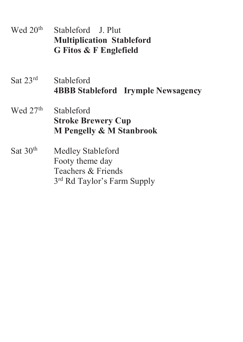Wed 20<sup>th</sup> Stableford J. Plut **Multiplication Stableford G Fitos & F Englefield**

- Sat 23rd Stableford **4BBB Stableford Irymple Newsagency**
- Wed 27<sup>th</sup> Stableford **Stroke Brewery Cup M Pengelly & M Stanbrook**
- Sat 30<sup>th</sup> Medley Stableford Footy theme day Teachers & Friends 3rd Rd Taylor's Farm Supply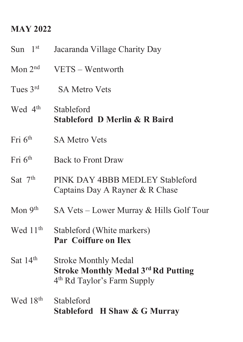# **MAY 2022**

| Sun $1st$                          | Jacaranda Village Charity Day                                                                                        |
|------------------------------------|----------------------------------------------------------------------------------------------------------------------|
| Mon $2nd$                          | VETS - Wentworth                                                                                                     |
| Tues $3rd$                         | <b>SA Metro Vets</b>                                                                                                 |
| Wed 4 <sup>th</sup>                | <b>Stableford</b><br>Stableford D Merlin & R Baird                                                                   |
| $\operatorname{Fri} 6^{\text{th}}$ | <b>SA Metro Vets</b>                                                                                                 |
| $\operatorname{Fri} 6^{\text{th}}$ | <b>Back to Front Draw</b>                                                                                            |
| Sat $7th$                          | PINK DAY 4BBB MEDLEY Stableford<br>Captains Day A Rayner & R Chase                                                   |
| Mon $9th$                          | SA Vets - Lower Murray & Hills Golf Tour                                                                             |
| Wed 11 <sup>th</sup>               | Stableford (White markers)<br><b>Par Coiffure on Ilex</b>                                                            |
| Sat $14th$                         | <b>Stroke Monthly Medal</b><br><b>Stroke Monthly Medal 3rd Rd Putting</b><br>4 <sup>th</sup> Rd Taylor's Farm Supply |
| Wed 18 <sup>th</sup>               | Stableford<br>Stableford H Shaw & G Murray                                                                           |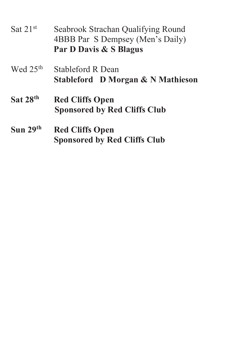| Sat $21st$           | Seabrook Strachan Qualifying Round<br>4BBB Par S Dempsey (Men's Daily)<br>Par D Davis & S Blagus |
|----------------------|--------------------------------------------------------------------------------------------------|
| Wed $25th$           | Stableford R Dean<br>Stableford D Morgan & N Mathieson                                           |
| Sat 28 <sup>th</sup> | <b>Red Cliffs Open</b><br><b>Sponsored by Red Cliffs Club</b>                                    |
| Sun 29 <sup>th</sup> | <b>Red Cliffs Open</b><br><b>Sponsored by Red Cliffs Club</b>                                    |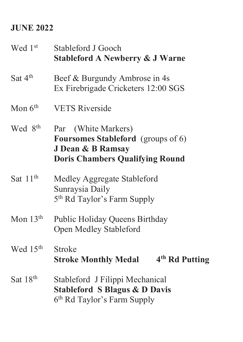# **JUNE 2022**

| Wed 1st              | Stableford J Gooch<br><b>Stableford A Newberry &amp; J Warne</b>                                                         |
|----------------------|--------------------------------------------------------------------------------------------------------------------------|
| Sat $4th$            | Beef & Burgundy Ambrose in 4s<br>Ex Firebrigade Cricketers 12:00 SGS                                                     |
| Mon $6th$            | <b>VETS Riverside</b>                                                                                                    |
| Wed 8 <sup>th</sup>  | Par (White Markers)<br>Foursomes Stableford (groups of 6)<br>J Dean & B Ramsay<br><b>Doris Chambers Qualifying Round</b> |
| Sat 11 <sup>th</sup> | Medley Aggregate Stableford<br>Sunraysia Daily<br>5 <sup>th</sup> Rd Taylor's Farm Supply                                |
| Mon $13th$           | Public Holiday Queens Birthday<br>Open Medley Stableford                                                                 |
| Wed 15 <sup>th</sup> | <b>Stroke</b><br>4 <sup>th</sup> Rd Putting<br><b>Stroke Monthly Medal</b>                                               |
| Sat 18 <sup>th</sup> | Stableford J Filippi Mechanical<br><b>Stableford S Blagus &amp; D Davis</b><br>6 <sup>th</sup> Rd Taylor's Farm Supply   |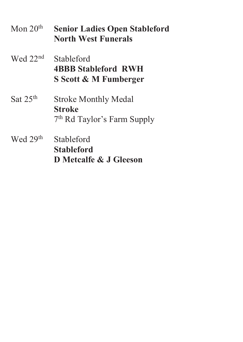| Mon $20th$           | <b>Senior Ladies Open Stableford</b><br><b>North West Funerals</b>        |
|----------------------|---------------------------------------------------------------------------|
| Wed 22 <sup>nd</sup> | Stableford<br><b>4BBB Stableford RWH</b><br>S Scott & M Fumberger         |
| Sat $25th$           | Stroke Monthly Medal<br>Stroke<br>7 <sup>th</sup> Rd Taylor's Farm Supply |
| Wed 29th             | Stableford<br>Stableford                                                  |

**D Metcalfe & J Gleeson**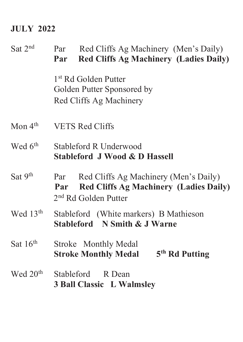#### **JULY 2022**

# Sat  $2<sup>nd</sup>$  Par Red Cliffs Ag Machinery (Men's Daily) **Par Red Cliffs Ag Machinery (Ladies Daily)** 1st Rd Golden Putter Golden Putter Sponsored by Red Cliffs Ag Machinery Mon 4<sup>th</sup> VETS Red Cliffs Wed 6<sup>th</sup> Stableford R Underwood **Stableford J Wood & D Hassell** Sat  $9<sup>th</sup>$  Par Red Cliffs Ag Machinery (Men's Daily)  **Par Red Cliffs Ag Machinery (Ladies Daily)** 2nd Rd Golden Putter Wed 13<sup>th</sup> Stableford (White markers) B Mathieson **Stableford N Smith & J Warne** Sat 16<sup>th</sup> Stroke Monthly Medal **Stroke Monthly Medal 5th Rd Putting**  Wed 20th StablefordR Dean **3 Ball Classic L Walmsley**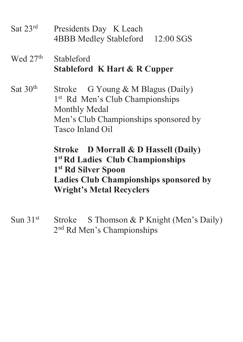- Sat 23<sup>rd</sup> Presidents Day K Leach 4BBB Medley Stableford 12:00 SGS
- Wed 27<sup>th</sup> Stableford **Stableford K Hart & R Cupper**

Sat  $30<sup>th</sup>$  Stroke G Young & M Blagus (Daily) 1<sup>st</sup> Rd Men's Club Championships Monthly Medal Men's Club Championships sponsored by Tasco Inland Oil

> **Stroke D Morrall & D Hassell (Daily) 1st Rd Ladies Club Championships 1st Rd Silver Spoon Ladies Club Championships sponsored by Wright's Metal Recyclers**

Sun 31<sup>st</sup> Stroke S Thomson & P Knight (Men's Daily) 2nd Rd Men's Championships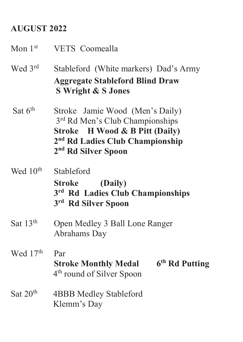# **AUGUST 2022**

| Mon $1st$            | VETS Coomealla                                                                                                                                                                                     |
|----------------------|----------------------------------------------------------------------------------------------------------------------------------------------------------------------------------------------------|
| Wed 3rd              | Stableford (White markers) Dad's Army<br><b>Aggregate Stableford Blind Draw</b><br>S Wright & S Jones                                                                                              |
| Sat $6th$            | Stroke Jamie Wood (Men's Daily)<br>3 <sup>rd</sup> Rd Men's Club Championships<br>Stroke H Wood & B Pitt (Daily)<br>2 <sup>nd</sup> Rd Ladies Club Championship<br>2 <sup>nd</sup> Rd Silver Spoon |
| Wed $10th$           | Stableford<br>Stroke (Daily)<br>3 <sup>rd</sup> Rd Ladies Club Championships<br>3 <sup>rd</sup> Rd Silver Spoon                                                                                    |
| Sat $13th$           | Open Medley 3 Ball Lone Ranger<br>Abrahams Day                                                                                                                                                     |
| Wed 17 <sup>th</sup> | Par<br>6 <sup>th</sup> Rd Putting<br><b>Stroke Monthly Medal</b><br>4 <sup>th</sup> round of Silver Spoon                                                                                          |
| Sat $20th$           | 4BBB Medley Stableford<br>Klemm's Day                                                                                                                                                              |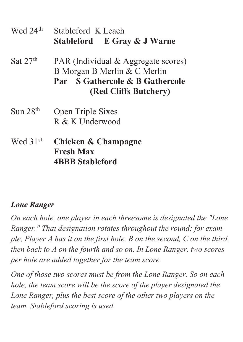| Wed 24 <sup>th</sup> | Stableford K Leach<br>Stableford E Gray & J Warne                                                                                  |
|----------------------|------------------------------------------------------------------------------------------------------------------------------------|
| Sat $27th$           | PAR (Individual & Aggregate scores)<br>B Morgan B Merlin & C Merlin<br>S Gathercole & B Gathercole<br>Par<br>(Red Cliffs Butchery) |
| $Sun$ $28th$         | Open Triple Sixes<br>$R \& K$ Underwood                                                                                            |
| Wed 31 <sup>st</sup> | Chicken & Champagne<br><b>Fresh Max</b><br><b>4BBB Stableford</b>                                                                  |

#### *Lone Ranger*

*On each hole, one player in each threesome is designated the "Lone Ranger." That designation rotates throughout the round; for example, Player A has it on the first hole, B on the second, C on the third, then back to A on the fourth and so on. In Lone Ranger, two scores per hole are added together for the team score.*

*One of those two scores must be from the Lone Ranger. So on each hole, the team score will be the score of the player designated the Lone Ranger, plus the best score of the other two players on the team. Stableford scoring is used.*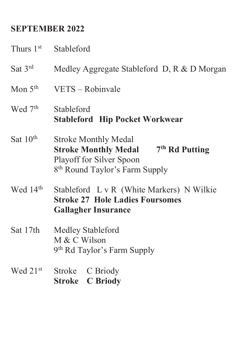# **SEPTEMBER 2022**

| Thurs 1 <sup>st</sup> | Stableford                                                                                                                                               |  |  |
|-----------------------|----------------------------------------------------------------------------------------------------------------------------------------------------------|--|--|
| Sat 3rd               | Medley Aggregate Stableford D, R & D Morgan                                                                                                              |  |  |
| Mon $5th$             | VETS – Robinvale                                                                                                                                         |  |  |
| Wed 7 <sup>th</sup>   | Stableford<br><b>Stableford Hip Pocket Workwear</b>                                                                                                      |  |  |
| Sat $10th$            | <b>Stroke Monthly Medal</b><br>$7th$ Rd Putting<br><b>Stroke Monthly Medal</b><br>Playoff for Silver Spoon<br>8 <sup>th</sup> Round Taylor's Farm Supply |  |  |
| Wed 14 <sup>th</sup>  | Stableford L v R (White Markers) N Wilkie<br><b>Stroke 27 Hole Ladies Foursomes</b><br><b>Gallagher Insurance</b>                                        |  |  |
| Sat 17th              | Medley Stableford<br>M & C Wilson<br>9 <sup>th</sup> Rd Taylor's Farm Supply                                                                             |  |  |
| Wed $21st$            | Stroke C Briody<br><b>Stroke C Briody</b>                                                                                                                |  |  |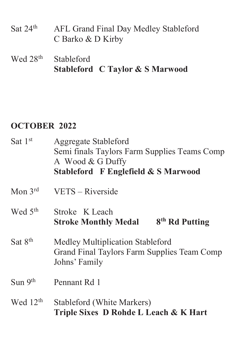- Sat 24<sup>th</sup> AFL Grand Final Day Medley Stableford C Barko & D Kirby
- Wed 28<sup>th</sup> Stableford **Stableford C Taylor & S Marwood**

#### **OCTOBER 2022**

| Sat $1st$           | Aggregate Stableford<br>Semi finals Taylors Farm Supplies Teams Comp<br>A Wood & G Duffy<br>Stableford F Englefield & S Marwood |  |  |
|---------------------|---------------------------------------------------------------------------------------------------------------------------------|--|--|
| Mon $3^{\text{rd}}$ | VETS – Riverside                                                                                                                |  |  |
| Wed 5 <sup>th</sup> | Stroke K Leach<br>8 <sup>th</sup> Rd Putting<br><b>Stroke Monthly Medal</b>                                                     |  |  |
| Sat 8 <sup>th</sup> | Medley Multiplication Stableford<br>Grand Final Taylors Farm Supplies Team Comp<br>Johns' Family                                |  |  |
| Sum 9 <sup>th</sup> | Pennant Rd 1                                                                                                                    |  |  |
| Wed $12th$          | Stableford (White Markers)<br>Triple Sixes D Rohde L Leach & K Hart                                                             |  |  |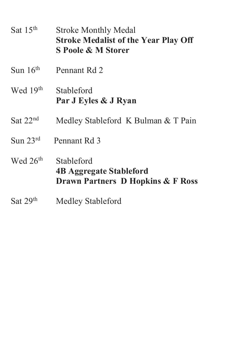| Sat $15th$           | <b>Stroke Monthly Medal</b><br><b>Stroke Medalist of the Year Play Off</b><br>S Poole & M Storer |
|----------------------|--------------------------------------------------------------------------------------------------|
| Sun $16th$           | Pennant Rd 2                                                                                     |
| Wed 19th             | <b>Stableford</b><br>Par J Eyles & J Ryan                                                        |
| Sat $22nd$           | Medley Stableford K Bulman & T Pain                                                              |
| Sun $23^{\text{rd}}$ | Pennant Rd 3                                                                                     |
| Wed 26 <sup>th</sup> | Stableford<br><b>4B Aggregate Stableford</b><br>Drawn Partners D Hopkins & F Ross                |
| Sat 29 <sup>th</sup> | Medley Stableford                                                                                |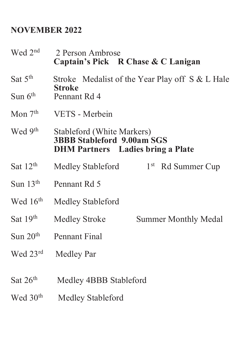# **NOVEMBER 2022**

| Wed 2 <sup>nd</sup>  | 2 Person Ambrose                                                | Captain's Pick R Chase & C Lanigan              |
|----------------------|-----------------------------------------------------------------|-------------------------------------------------|
| Sat 5 <sup>th</sup>  |                                                                 | Stroke Medalist of the Year Play off S & L Hale |
| Sun $6th$            | Stroke<br>Pennant Rd 4                                          |                                                 |
| Mon 7 <sup>th</sup>  | VETS - Merbein                                                  |                                                 |
| Wed 9 <sup>th</sup>  | Stableford (White Markers)<br><b>3BBB Stableford 9.00am SGS</b> | <b>DHM Partners</b> Ladies bring a Plate        |
| Sat 12 <sup>th</sup> | Medley Stableford                                               | 1 <sup>st</sup><br>Rd Summer Cup                |
| Sun $13th$           | Pennant Rd 5                                                    |                                                 |
| Wed 16 <sup>th</sup> | Medley Stableford                                               |                                                 |
| Sat 19 <sup>th</sup> | Medley Stroke                                                   | <b>Summer Monthly Medal</b>                     |
| Sun $20th$           | Pennant Final                                                   |                                                 |
| Wed 23rd             | Medley Par                                                      |                                                 |
| Sat $26th$           | Medley 4BBB Stableford                                          |                                                 |
| Wed 30 <sup>th</sup> | Medley Stableford                                               |                                                 |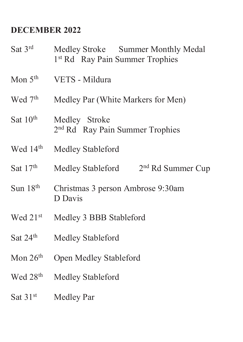#### **DECEMBER 2022**

Sat 3rd Medley Stroke Summer Monthly Medal 1<sup>st</sup> Rd Ray Pain Summer Trophies Mon  $5<sup>th</sup>$  VETS - Mildura Wed 7<sup>th</sup> Medley Par (White Markers for Men) Sat 10<sup>th</sup> Medley Stroke 2<sup>nd</sup> Rd Ray Pain Summer Trophies Wed 14<sup>th</sup> Medley Stableford Sat  $17<sup>th</sup>$  Medley Stableford  $2<sup>nd</sup>$  Rd Summer Cup Sun 18th Christmas 3 person Ambrose 9:30am D Davis Wed 21<sup>st</sup> Medley 3 BBB Stableford Sat 24<sup>th</sup> Medley Stableford Mon 26<sup>th</sup> Open Medley Stableford Wed 28<sup>th</sup> Medley Stableford Sat 31st Medley Par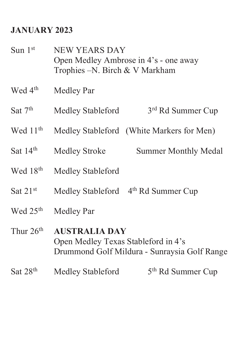#### **JANUARY 2023**

Sun 1st NEW YEARS DAY Open Medley Ambrose in 4's - one away Trophies –N. Birch & V Markham Wed 4<sup>th</sup> Medley Par Sat  $7<sup>th</sup>$  Medley Stableford  $3<sup>rd</sup>$  Rd Summer Cup Wed  $11<sup>th</sup>$  Medley Stableford (White Markers for Men) Sat 14th Medley Stroke Summer Monthly Medal Wed 18<sup>th</sup> Medley Stableford Sat 21<sup>st</sup> Medley Stableford 4<sup>th</sup> Rd Summer Cup Wed 25<sup>th</sup> Medley Par Thur 26th **AUSTRALIA DAY** Open Medley Texas Stableford in 4's Drummond Golf Mildura - Sunraysia Golf Range Sat  $28<sup>th</sup>$  Medley Stableford  $5<sup>th</sup>$  Rd Summer Cup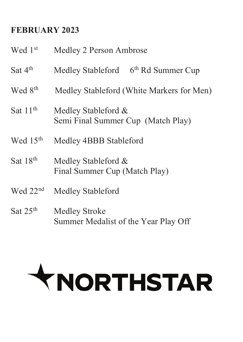## **FEBRUARY 2023**

| Wed 1st              | Medley 2 Person Ambrose                                   |  |  |
|----------------------|-----------------------------------------------------------|--|--|
| Sat 4 <sup>th</sup>  | Medley Stableford 6 <sup>th</sup> Rd Summer Cup           |  |  |
| Wed 8 <sup>th</sup>  | Medley Stableford (White Markers for Men)                 |  |  |
| Sat $11th$           | Medley Stableford &<br>Semi Final Summer Cup (Match Play) |  |  |
| Wed 15 <sup>th</sup> | Medley 4BBB Stableford                                    |  |  |
| Sat $18th$           | Medley Stableford &<br>Final Summer Cup (Match Play)      |  |  |
| Wed 22 <sup>nd</sup> | Medley Stableford                                         |  |  |
| Sat $25th$           | Medley Stroke<br>Summer Medalist of the Year Play Off     |  |  |

# **THISTAR**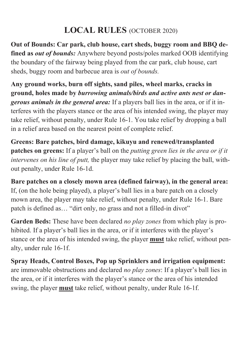# **LOCAL RULES** (OCTOBER 2020)

**Out of Bounds: Car park, club house, cart sheds, buggy room and BBQ defined as** *out of bounds:* Anywhere beyond posts/poles marked OOB identifying the boundary of the fairway being played from the car park, club house, cart sheds, buggy room and barbecue area is *out of bounds.*

**Any ground works, burn off sights, sand piles, wheel marks, cracks in ground, holes made by** *burrowing animals/birds and active ants nest or dangerous animals in the general area:* If a players ball lies in the area, or if it interferes with the players stance or the area of his intended swing, the player may take relief, without penalty, under Rule 16-1. You take relief by dropping a ball in a relief area based on the nearest point of complete relief.

**Greens: Bare patches, bird damage, kikuyu and renewed/transplanted patches on greens:** If a player's ball on the *putting green lies in the area or if it intervenes on his line of putt,* the player may take relief by placing the ball, without penalty, under Rule 16-1d.

**Bare patches on a closely mown area (defined fairway), in the general area:**  If, (on the hole being played), a player's ball lies in a bare patch on a closely mown area, the player may take relief, without penalty, under Rule 16-1. Bare patch is defined as… "dirt only, no grass and not a filled-in divot"

**Garden Beds:** These have been declared *no play zones* from which play is prohibited. If a player's ball lies in the area, or if it interferes with the player's stance or the area of his intended swing, the player **must** take relief, without penalty, under rule 16-1f.

**Spray Heads, Control Boxes, Pop up Sprinklers and irrigation equipment:**  are immovable obstructions and declared *no play zones*: If a player's ball lies in the area, or if it interferes with the player's stance or the area of his intended swing, the player **must** take relief, without penalty, under Rule 16-1f.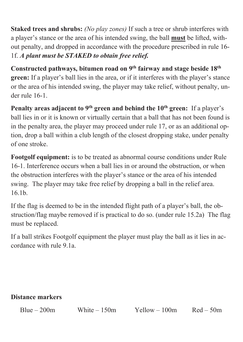**Staked trees and shrubs:** *(No play zones)* If such a tree or shrub interferes with a player's stance or the area of his intended swing, the ball **must** be lifted, without penalty, and dropped in accordance with the procedure prescribed in rule 16- 1f. *A plant must be STAKED to obtain free relief.*

**Constructed pathways, bitumen road on 9th fairway and stage beside 18th green:** If a player's ball lies in the area, or if it interferes with the player's stance or the area of his intended swing, the player may take relief, without penalty, under rule 16-1.

**Penalty areas adjacent to 9th green and behind the 10th green:** If a player's ball lies in or it is known or virtually certain that a ball that has not been found is in the penalty area, the player may proceed under rule 17, or as an additional option, drop a ball within a club length of the closest dropping stake, under penalty of one stroke.

**Footgolf equipment:** is to be treated as abnormal course conditions under Rule 16-1. Interference occurs when a ball lies in or around the obstruction, or when the obstruction interferes with the player's stance or the area of his intended swing. The player may take free relief by dropping a ball in the relief area. 16.1b.

If the flag is deemed to be in the intended flight path of a player's ball, the obstruction/flag maybe removed if is practical to do so. (under rule 15.2a) The flag must be replaced.

If a ball strikes Footgolf equipment the player must play the ball as it lies in accordance with rule 9.1a.

#### **Distance markers**

 $Blue = 200m$  White  $-150m$  Yellow  $-100m$  Red – 50m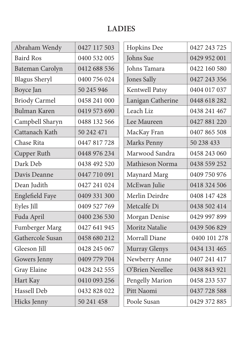## **LADIES**

| Abraham Wendy        | 0427 117 503 | Hopkins Dee       | 0427 243 725 |
|----------------------|--------------|-------------------|--------------|
| <b>Baird Ros</b>     | 0400 532 005 | <b>Johns</b> Sue  | 0429 952 001 |
| Bateman Carolyn      | 0412 688 536 | Johns Tamara      | 0422 160 580 |
| <b>Blagus Sheryl</b> | 0400 756 024 | Jones Sally       | 0427 243 356 |
| Boyce Jan            | 50 245 946   | Kentwell Patsy    | 0404 017 037 |
| <b>Briody Carmel</b> | 0458 241 000 | Lanigan Catherine | 0448 618 282 |
| Bulman Karen         | 0419 573 690 | Leach Liz         | 0438 241 467 |
| Campbell Sharyn      | 0488 132 566 | Lee Maureen       | 0427 881 220 |
| Cattanach Kath       | 50 242 471   | MacKay Fran       | 0407 865 508 |
| Chase Rita           | 0447 817 728 | Marks Penny       | 50 238 433   |
| Cupper Ruth          | 0448 976 234 | Marwood Sandra    | 0458 243 060 |
| Dark Deb             | 0438 492 520 | Mathieson Norma   | 0438 559 252 |
| Davis Deanne         | 0447 710 091 | Maynard Marg      | 0409 750 976 |
| Dean Judith          | 0427 241 024 | McEwan Julie      | 0418 324 506 |
| Englefield Faye      | 0409 331 300 | Merlin Deirdre    | 0408 147 428 |
| Eyles Jill           | 0409 527 769 | Metcalfe Di       | 0438 502 414 |
| Fuda April           | 0400 236 530 | Morgan Denise     | 0429 997 899 |
| Fumberger Marg       | 0427 641 945 | Moritz Natalie    | 0439 506 829 |
| Gathercole Susan     | 0458 680 212 | Morrall Diane     | 0400 101 278 |
| Gleeson Jill         | 0428 245 067 | Murray Glenys     | 0434 131 465 |
| Gowers Jenny         | 0409 779 704 | Newberry Anne     | 0407 241 417 |
| Gray Elaine          | 0428 242 555 | O'Brien Nerellee  | 0438 843 921 |
| Hart Kay             | 0410 093 256 | Pengelly Marion   | 0458 233 537 |
| Hassell Deb          | 0432 828 022 | Pitt Naomi        | 0437 728 588 |
| Hicks Jenny          | 50 241 458   | Poole Susan       | 0429 372 885 |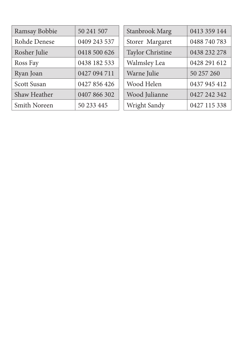| Ramsay Bobbie | 50 241 507   | Stanbrook Marg   | 0413 359 144 |
|---------------|--------------|------------------|--------------|
| Rohde Denese  | 0409 243 537 | Storer Margaret  | 0488 740 783 |
| Rosher Julie  | 0418 500 626 | Taylor Christine | 0438 232 278 |
| Ross Fay      | 0438 182 533 | Walmsley Lea     | 0428 291 612 |
| Ryan Joan     | 0427 094 711 | Warne Julie      | 50 257 260   |
| Scott Susan   | 0427 856 426 | Wood Helen       | 0437 945 412 |
| Shaw Heather  | 0407 866 302 | Wood Julianne    | 0427 242 342 |
| Smith Noreen  | 50 233 445   | Wright Sandy     | 0427 115 338 |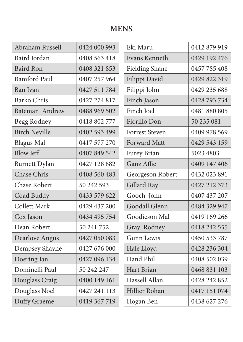#### **MENS**

| Abraham Russell      | 0424 000 993 | Eki Maru              | 0412 879 919 |
|----------------------|--------------|-----------------------|--------------|
| Baird Jordan         | 0408 563 418 | Evans Kenneth         | 0429 192 476 |
| <b>Baird Ron</b>     | 0408 321 853 | <b>Fielding Shane</b> | 0457 785 408 |
| <b>Bamford Paul</b>  | 0407 257 964 | Filippi David         | 0429 822 319 |
| Ban Ivan             | 0427 511 784 | Filippi John          | 0429 235 688 |
| <b>Barko Chris</b>   | 0427 274 817 | Finch Jason           | 0428 793 734 |
| Bateman Andrew       | 0488 969 502 | Finch Joel            | 0481 880 805 |
| Begg Rodney          | 0418 802 777 | Fiorillo Don          | 50 235 081   |
| <b>Birch Neville</b> | 0402 593 499 | <b>Forrest Steven</b> | 0409 978 569 |
| <b>Blagus Mal</b>    | 0417 577 270 | <b>Forward Matt</b>   | 0429 543 159 |
| <b>Blow Jeff</b>     | 0407 849 542 | Furey Brian           | 5023 4803    |
| <b>Burnett Dylan</b> | 0427 128 882 | Ganz Affie            | 0409 147 406 |
| Chase Chris          | 0408 560 483 | Georgeson Robert      | 0432 023 891 |
| Chase Robert         | 50 242 593   | Gillard Ray           | 0427 212 373 |
| Coad Buddy           | 0433 579 622 | Gooch John            | 0407 437 207 |
| Collett Mark         | 0429 437 200 | Goodall Glenn         | 0484 329 947 |
| Cox Jason            | 0434 495 754 | Goodieson Mal         | 0419 169 266 |
| Dean Robert          | 50 241 752   | Gray Rodney           | 0418 242 555 |
| Dearlove Angus       | 0427 050 083 | Gunn Lewis            | 0450 533 787 |
| Dempsey Shayne       | 0427 676 000 | Hale Lloyd            | 0428 236 304 |
| Doering Ian          | 0427 096 134 | Hand Phil             | 0408 502 039 |
| Dominelli Paul       | 50 242 247   | Hart Brian            | 0468 831 103 |
| Douglass Craig       | 0400 149 161 | Hassell Allan         | 0428 242 852 |
| Douglass Noel        | 0427 241 113 | Hillier Rohan         | 0417 151 074 |
| Duffy Graeme         | 0419 367 719 | Hogan Ben             | 0438 627 276 |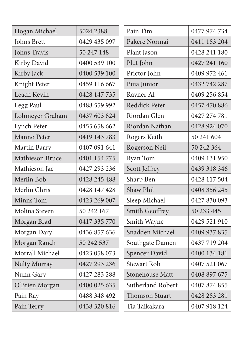| Hogan Michael   | 5024 2388    | Pain Tim              | 0477 974 734 |
|-----------------|--------------|-----------------------|--------------|
| Johns Brett     | 0429 435 097 | Pakere Normai         | 0411 183 204 |
| Johns Travis    | 50 247 148   | Plant Jason           | 0428 241 180 |
| Kirby David     | 0400 539 100 | Plut John             | 0427 241 160 |
| Kirby Jack      | 0400 539 100 | Prictor John          | 0409 972 461 |
| Knight Peter    | 0459 116 667 | Puia Junior           | 0432 742 287 |
| Leach Kevin     | 0428 147 735 | Rayner Al             | 0409 256 854 |
| Legg Paul       | 0488 559 992 | Reddick Peter         | 0457 470 886 |
| Lohmeyer Graham | 0437 603 824 | Riordan Glen          | 0427 274 781 |
| Lynch Peter     | 0455 658 662 | Riordan Nathan        | 0428 924 070 |
| Manno Peter     | 0419 143 783 | Rogers Keith          | 50 241 604   |
| Martin Barry    | 0407 091 641 | Rogerson Neil         | 50 242 364   |
| Mathieson Bruce | 0401 154 775 | Ryan Tom              | 0409 131 950 |
| Mathieson Jac   | 0427 293 236 | Scott Jeffrey         | 0439 318 346 |
| Merlin Bob      | 0428 245 488 | Sharp Ben             | 0428 117 504 |
| Merlin Chris    | 0428 147 428 | Shaw Phil             | 0408 356 245 |
| Minns Tom       | 0423 269 007 | Sleep Michael         | 0427 830 093 |
| Molina Steven   | 50 242 167   | Smith Geoffrey        | 50 233 445   |
| Morgan Brad     | 0417 335 770 | Smith Wayne           | 0429 521 910 |
| Morgan Daryl    | 0436 857 636 | Snadden Michael       | 0409 937 835 |
| Morgan Ranch    | 50 242 537   | Southgate Damen       | 0437 719 204 |
| Morrall Michael | 0423 058 073 | Spencer David         | 0400 134 181 |
| Nulty Murray    | 0427 293 236 | <b>Stewart Rob</b>    | 0407 521 067 |
| Nunn Gary       | 0427 283 288 | Stonehouse Matt       | 0408 897 675 |
| O'Brien Morgan  | 0400 025 635 | Sutherland Robert     | 0407 874 855 |
| Pain Ray        | 0488 348 492 | <b>Thomson Stuart</b> | 0428 283 281 |
| Pain Terry      | 0438 320 816 | Tia Taikakara         | 0407 918 124 |